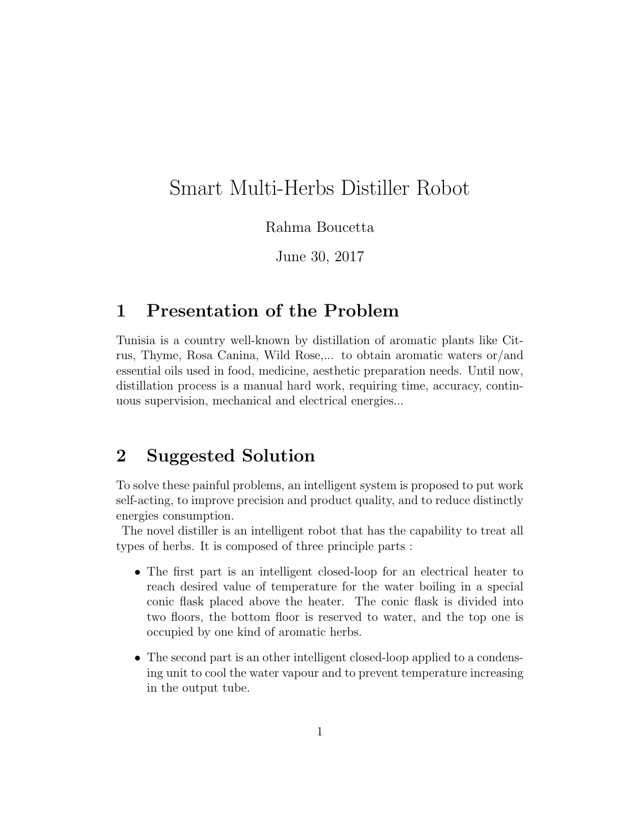## Smart Multi-Herbs Distiller Robot

Rahma Boucetta

June 30, 2017

## 1 Presentation of the Problem

Tunisia is a country well-known by distillation of aromatic plants like Citrus, Thyme, Rosa Canina, Wild Rose,... to obtain aromatic waters or/and essential oils used in food, medicine, aesthetic preparation needs. Until now, distillation process is a manual hard work, requiring time, accuracy, continuous supervision, mechanical and electrical energies...

## 2 Suggested Solution

To solve these painful problems, an intelligent system is proposed to put work self-acting, to improve precision and product quality, and to reduce distinctly energies consumption.

The novel distiller is an intelligent robot that has the capability to treat all types of herbs. It is composed of three principle parts :

- The first part is an intelligent closed-loop for an electrical heater to reach desired value of temperature for the water boiling in a special conic flask placed above the heater. The conic flask is divided into two floors, the bottom floor is reserved to water, and the top one is occupied by one kind of aromatic herbs.
- The second part is an other intelligent closed-loop applied to a condensing unit to cool the water vapour and to prevent temperature increasing in the output tube.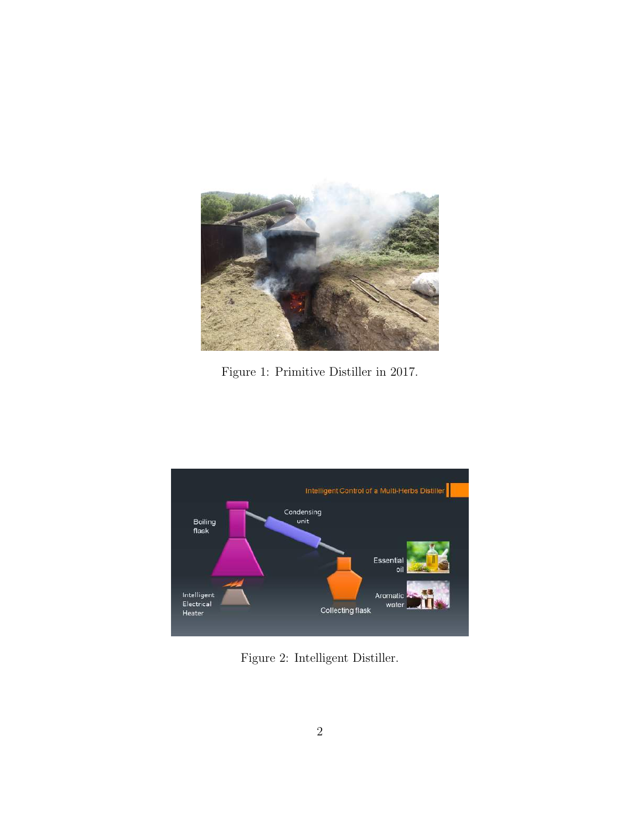

Figure 1: Primitive Distiller in 2017.



Figure 2: Intelligent Distiller.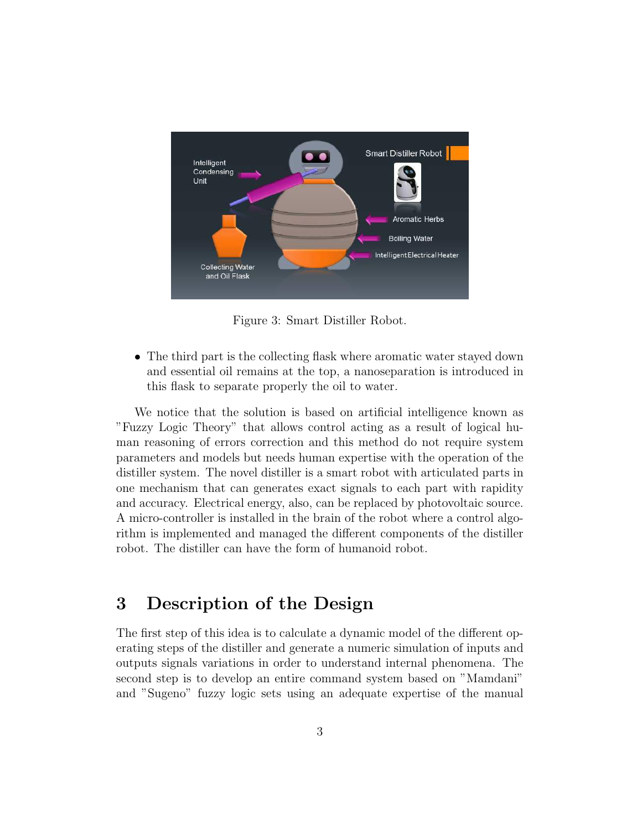

Figure 3: Smart Distiller Robot.

• The third part is the collecting flask where aromatic water stayed down and essential oil remains at the top, a nanoseparation is introduced in this flask to separate properly the oil to water.

We notice that the solution is based on artificial intelligence known as "Fuzzy Logic Theory" that allows control acting as a result of logical human reasoning of errors correction and this method do not require system parameters and models but needs human expertise with the operation of the distiller system. The novel distiller is a smart robot with articulated parts in one mechanism that can generates exact signals to each part with rapidity and accuracy. Electrical energy, also, can be replaced by photovoltaic source. A micro-controller is installed in the brain of the robot where a control algorithm is implemented and managed the different components of the distiller robot. The distiller can have the form of humanoid robot.

## 3 Description of the Design

The first step of this idea is to calculate a dynamic model of the different operating steps of the distiller and generate a numeric simulation of inputs and outputs signals variations in order to understand internal phenomena. The second step is to develop an entire command system based on "Mamdani" and "Sugeno" fuzzy logic sets using an adequate expertise of the manual